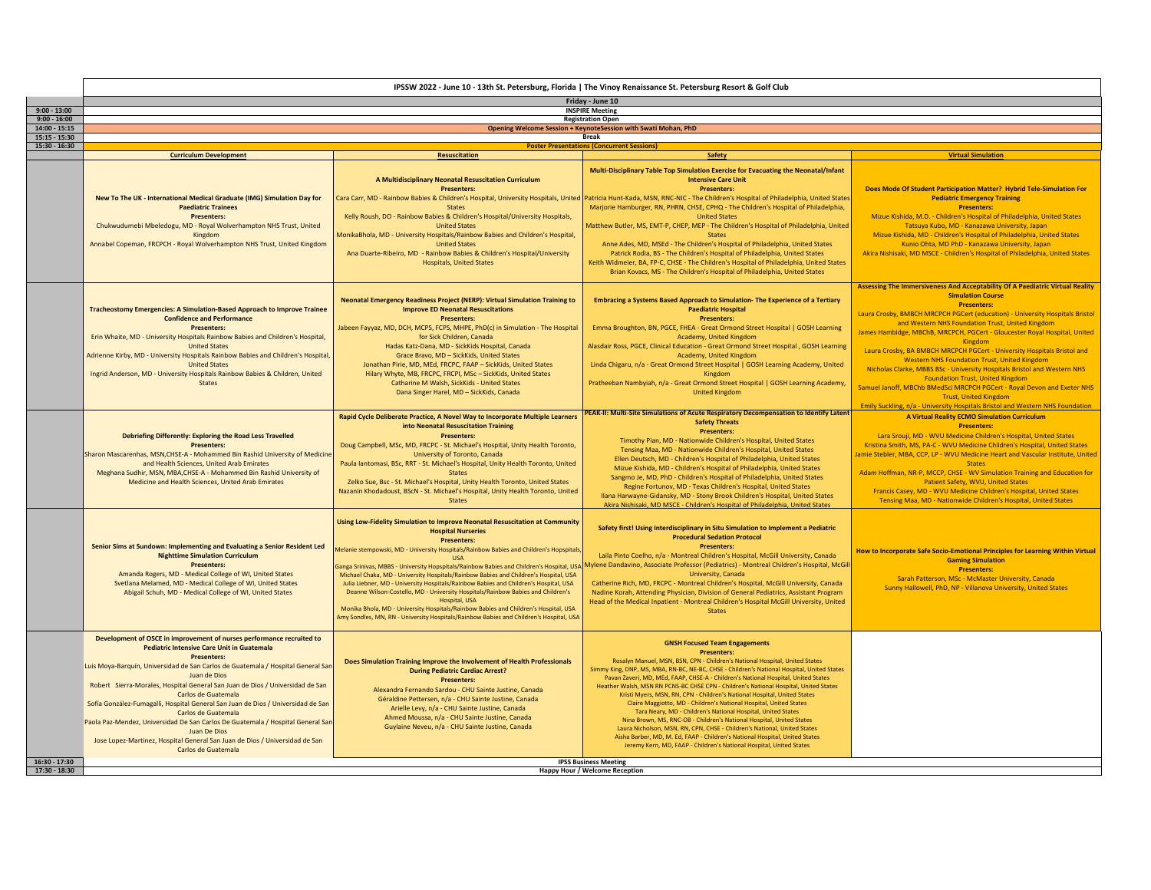|                                    | IPSSW 2022 - June 10 - 13th St. Petersburg, Florida   The Vinoy Renaissance St. Petersburg Resort & Golf Club                                                                                                                                                                                                                                                                                                                                                                                                                                                                                                                                                                    |                                                                                                                                                                                                                                                                                                                                                                                                                                                                                                                                                                                                                                                                                                                                                                                                   |                                                                                                                                                                                                                                                                                                                                                                                                                                                                                                                                                                                                                                                                                                                                                                                                                                                                                                                                                                                  |                                                                                                                                                                                                                                                                                                                                                                                                                                                                                                                                                                                                                                                                                                                                 |
|------------------------------------|----------------------------------------------------------------------------------------------------------------------------------------------------------------------------------------------------------------------------------------------------------------------------------------------------------------------------------------------------------------------------------------------------------------------------------------------------------------------------------------------------------------------------------------------------------------------------------------------------------------------------------------------------------------------------------|---------------------------------------------------------------------------------------------------------------------------------------------------------------------------------------------------------------------------------------------------------------------------------------------------------------------------------------------------------------------------------------------------------------------------------------------------------------------------------------------------------------------------------------------------------------------------------------------------------------------------------------------------------------------------------------------------------------------------------------------------------------------------------------------------|----------------------------------------------------------------------------------------------------------------------------------------------------------------------------------------------------------------------------------------------------------------------------------------------------------------------------------------------------------------------------------------------------------------------------------------------------------------------------------------------------------------------------------------------------------------------------------------------------------------------------------------------------------------------------------------------------------------------------------------------------------------------------------------------------------------------------------------------------------------------------------------------------------------------------------------------------------------------------------|---------------------------------------------------------------------------------------------------------------------------------------------------------------------------------------------------------------------------------------------------------------------------------------------------------------------------------------------------------------------------------------------------------------------------------------------------------------------------------------------------------------------------------------------------------------------------------------------------------------------------------------------------------------------------------------------------------------------------------|
| $9:00 - 13:00$                     | Friday - June 10<br><b>INSPIRE Meeting</b>                                                                                                                                                                                                                                                                                                                                                                                                                                                                                                                                                                                                                                       |                                                                                                                                                                                                                                                                                                                                                                                                                                                                                                                                                                                                                                                                                                                                                                                                   |                                                                                                                                                                                                                                                                                                                                                                                                                                                                                                                                                                                                                                                                                                                                                                                                                                                                                                                                                                                  |                                                                                                                                                                                                                                                                                                                                                                                                                                                                                                                                                                                                                                                                                                                                 |
| $9:00 - 16:00$                     | <b>Registration Open</b>                                                                                                                                                                                                                                                                                                                                                                                                                                                                                                                                                                                                                                                         |                                                                                                                                                                                                                                                                                                                                                                                                                                                                                                                                                                                                                                                                                                                                                                                                   |                                                                                                                                                                                                                                                                                                                                                                                                                                                                                                                                                                                                                                                                                                                                                                                                                                                                                                                                                                                  |                                                                                                                                                                                                                                                                                                                                                                                                                                                                                                                                                                                                                                                                                                                                 |
| $14:00 - 15:15$<br>$15:15 - 15:30$ |                                                                                                                                                                                                                                                                                                                                                                                                                                                                                                                                                                                                                                                                                  |                                                                                                                                                                                                                                                                                                                                                                                                                                                                                                                                                                                                                                                                                                                                                                                                   | Opening Welcome Session + KeynoteSession with Swati Mohan, PhD<br><b>Break</b>                                                                                                                                                                                                                                                                                                                                                                                                                                                                                                                                                                                                                                                                                                                                                                                                                                                                                                   |                                                                                                                                                                                                                                                                                                                                                                                                                                                                                                                                                                                                                                                                                                                                 |
| $15:30 - 16:30$                    |                                                                                                                                                                                                                                                                                                                                                                                                                                                                                                                                                                                                                                                                                  |                                                                                                                                                                                                                                                                                                                                                                                                                                                                                                                                                                                                                                                                                                                                                                                                   | <b>Poster Presentations (Concurrent Sessions)</b>                                                                                                                                                                                                                                                                                                                                                                                                                                                                                                                                                                                                                                                                                                                                                                                                                                                                                                                                |                                                                                                                                                                                                                                                                                                                                                                                                                                                                                                                                                                                                                                                                                                                                 |
|                                    | <b>Curriculum Development</b>                                                                                                                                                                                                                                                                                                                                                                                                                                                                                                                                                                                                                                                    | <b>Resuscitation</b>                                                                                                                                                                                                                                                                                                                                                                                                                                                                                                                                                                                                                                                                                                                                                                              | <b>Safety</b>                                                                                                                                                                                                                                                                                                                                                                                                                                                                                                                                                                                                                                                                                                                                                                                                                                                                                                                                                                    | <b>Virtual Simulation</b>                                                                                                                                                                                                                                                                                                                                                                                                                                                                                                                                                                                                                                                                                                       |
|                                    | New To The UK - International Medical Graduate (IMG) Simulation Day for<br><b>Paediatric Trainees</b><br>Presenters:<br>Chukwudumebi Mbeledogu, MD - Royal Wolverhampton NHS Trust, United<br>Kingdom                                                                                                                                                                                                                                                                                                                                                                                                                                                                            | A Multidisciplinary Neonatal Resuscitation Curriculum<br><b>Presenters:</b><br>Cara Carr, MD - Rainbow Babies & Children's Hospital, University Hospitals, United<br>States<br>Kelly Roush, DO - Rainbow Babies & Children's Hospital/University Hospitals,<br><b>United States</b><br>MonikaBhola, MD - University Hospitals/Rainbow Babies and Children's Hospital,                                                                                                                                                                                                                                                                                                                                                                                                                             | Multi-Disciplinary Table Top Simulation Exercise for Evacuating the Neonatal/Infant<br><b>Intensive Care Unit</b><br><b>Presenters:</b><br>Patricia Hunt-Kada, MSN, RNC-NIC - The Children's Hospital of Philadelphia, United States<br>Marjorie Hamburger, RN, PHRN, CHSE, CPHQ - The Children's Hospital of Philadelphia,<br><b>United States</b><br>Matthew Butler, MS, EMT-P, CHEP, MEP - The Children's Hospital of Philadelphia, United<br><b>States</b>                                                                                                                                                                                                                                                                                                                                                                                                                                                                                                                   | Does Mode Of Student Participation Matter? Hybrid Tele-Simulation For<br><b>Pediatric Emergency Training</b><br><b>Presenters:</b><br>Mizue Kishida, M.D. - Children's Hospital of Philadelphia, United States<br>Tatsuya Kubo, MD - Kanazawa University, Japan<br>Mizue Kishida, MD - Children's Hospital of Philadelphia, United States                                                                                                                                                                                                                                                                                                                                                                                       |
|                                    | Annabel Copeman, FRCPCH - Royal Wolverhampton NHS Trust, United Kingdom                                                                                                                                                                                                                                                                                                                                                                                                                                                                                                                                                                                                          | <b>United States</b><br>Ana Duarte-Ribeiro, MD - Rainbow Babies & Children's Hospital/University<br><b>Hospitals, United States</b>                                                                                                                                                                                                                                                                                                                                                                                                                                                                                                                                                                                                                                                               | Anne Ades, MD, MSEd - The Children's Hospital of Philadelphia, United States<br>Patrick Rodia, BS - The Children's Hospital of Philadelphia, United States<br>Keith Widmeier, BA, FP-C, CHSE - The Children's Hospital of Philadelphia, United States<br>Brian Kovacs, MS - The Children's Hospital of Philadelphia, United States                                                                                                                                                                                                                                                                                                                                                                                                                                                                                                                                                                                                                                               | Kunio Ohta, MD PhD - Kanazawa University, Japan<br>Akira Nishisaki, MD MSCE - Children's Hospital of Philadelphia, United States<br>Assessing The Immersiveness And Acceptability Of A Paediatric Virtual Reality                                                                                                                                                                                                                                                                                                                                                                                                                                                                                                               |
|                                    | <b>Tracheostomy Emergencies: A Simulation-Based Approach to Improve Trainee</b><br><b>Confidence and Performance</b><br><b>Presenters:</b><br>Erin Whaite, MD - University Hospitals Rainbow Babies and Children's Hospital,<br><b>United States</b><br>Adrienne Kirby, MD - University Hospitals Rainbow Babies and Children's Hospital,<br><b>United States</b><br>Ingrid Anderson, MD - University Hospitals Rainbow Babies & Children, United<br><b>States</b>                                                                                                                                                                                                               | Neonatal Emergency Readiness Project (NERP): Virtual Simulation Training to<br><b>Improve ED Neonatal Resuscitations</b><br>Presenters:<br>Jabeen Fayyaz, MD, DCH, MCPS, FCPS, MHPE, PhD(c) in Simulation - The Hospital<br>for Sick Children, Canada<br>Hadas Katz-Dana, MD - SickKids Hospital, Canada<br>Grace Bravo, MD - SickKids, United States<br>Jonathan Pirie, MD, MEd, FRCPC, FAAP - SickKids, United States<br>Hilary Whyte, MB, FRCPC, FRCPI, MSc - SickKids, United States<br>Catharine M Walsh, SickKids - United States<br>Dana Singer Harel, MD - SickKids, Canada                                                                                                                                                                                                               | Embracing a Systems Based Approach to Simulation-The Experience of a Tertiary<br><b>Paediatric Hospital</b><br>Presenters:<br>Emma Broughton, BN, PGCE, FHEA - Great Ormond Street Hospital   GOSH Learning<br>Academy, United Kingdom<br>Alasdair Ross, PGCE, Clinical Education - Great Ormond Street Hospital, GOSH Learning<br>Academy, United Kingdom<br>Linda Chigaru, n/a - Great Ormond Street Hospital   GOSH Learning Academy, United<br>Kingdom<br>Pratheeban Nambyiah, n/a - Great Ormond Street Hospital   GOSH Learning Academy,<br><b>United Kingdom</b>                                                                                                                                                                                                                                                                                                                                                                                                          | <b>Simulation Course</b><br><b>Presenters:</b><br>Laura Crosby, BMBCH MRCPCH PGCert (education) - University Hospitals Bristol<br>and Western NHS Foundation Trust, United Kingdom<br>James Hambidge, MBChB, MRCPCH, PGCert - Gloucester Royal Hospital, United<br>Kingdom<br>Laura Crosby, BA BMBCH MRCPCH PGCert - University Hospitals Bristol and<br><b>Western NHS Foundation Trust, United Kingdom</b><br>Nicholas Clarke, MBBS BSc - University Hospitals Bristol and Western NHS<br><b>Foundation Trust, United Kingdom</b><br>Samuel Janoff, MBChb BMedSci MRCPCH PGCert - Royal Devon and Exeter NHS<br><b>Trust, United Kingdom</b><br>Emily Suckling, n/a - University Hospitals Bristol and Western NHS Foundation |
|                                    | Debriefing Differently: Exploring the Road Less Travelled<br>Presenters:<br>Sharon Mascarenhas, MSN, CHSE-A - Mohammed Bin Rashid University of Medicine<br>and Health Sciences, United Arab Emirates<br>Meghana Sudhir, MSN, MBA, CHSE-A - Mohammed Bin Rashid University of<br>Medicine and Health Sciences, United Arab Emirates                                                                                                                                                                                                                                                                                                                                              | Rapid Cycle Deliberate Practice, A Novel Way to Incorporate Multiple Learners<br>into Neonatal Resuscitation Training<br><b>Presenters:</b><br>Doug Campbell, MSc, MD, FRCPC - St. Michael's Hospital, Unity Health Toronto,<br>University of Toronto, Canada<br>Paula Iantomasi, BSc, RRT - St. Michael's Hospital, Unity Health Toronto, United<br><b>States</b><br>Zelko Sue, Bsc - St. Michael's Hospital, Unity Health Toronto, United States<br>Nazanin Khodadoust, BScN - St. Michael's Hospital, Unity Health Toronto, United<br><b>States</b>                                                                                                                                                                                                                                            | PEAK-II: Multi-Site Simulations of Acute Respiratory Decompensation to Identify Latent<br><b>Safety Threats</b><br><b>Presenters:</b><br>Timothy Pian, MD - Nationwide Children's Hospital, United States<br>Tensing Maa, MD - Nationwide Children's Hospital, United States<br>Ellen Deutsch, MD - Children's Hospital of Philadelphia, United States<br>Mizue Kishida, MD - Children's Hospital of Philadelphia, United States<br>Sangmo Je, MD, PhD - Children's Hospital of Philadelphia, United States<br>Regine Fortunov, MD - Texas Children's Hospital, United States<br>Ilana Harwayne-Gidansky, MD - Stony Brook Children's Hospital, United States<br>Akira Nishisaki, MD MSCE - Children's Hospital of Philadelphia, United States                                                                                                                                                                                                                                   | A Virtual Reality ECMO Simulation Curriculum<br><b>Presenters:</b><br>Lara Srouji, MD - WVU Medicine Children's Hospital, United States<br>Kristina Smith, MS, PA-C - WVU Medicine Children's Hospital, United States<br>lamie Stebler, MBA, CCP, LP - WVU Medicine Heart and Vascular Institute, United<br><b>States</b><br>Adam Hoffman, NR-P, MCCP, CHSE - WV Simulation Training and Education for<br>Patient Safety, WVU, United States<br>Francis Casey, MD - WVU Medicine Children's Hospital, United States<br>Tensing Maa, MD - Nationwide Children's Hospital, United States                                                                                                                                          |
|                                    | Senior Sims at Sundown: Implementing and Evaluating a Senior Resident Led<br><b>Nighttime Simulation Curriculum</b><br>Presenters:<br>Amanda Rogers, MD - Medical College of WI, United States<br>Svetlana Melamed, MD - Medical College of WI, United States<br>Abigail Schuh, MD - Medical College of WI, United States                                                                                                                                                                                                                                                                                                                                                        | Using Low-Fidelity Simulation to Improve Neonatal Resuscitation at Community<br><b>Hospital Nurseries</b><br><b>Presenters:</b><br>Melanie stempowski, MD - University Hospitals/Rainbow Babies and Children's Hopspitals<br>USA<br>Ganga Srinivas, MBBS - University Hopspitals/Rainbow Babies and Children's Hospital, USA<br>Michael Chaka, MD - University Hospitals/Rainbow Babies and Children's Hospital, USA<br>Julia Liebner, MD - University Hospitals/Rainbow Babies and Children's Hospital, USA<br>Deanne Wilson-Costello, MD - University Hospitals/Rainbow Babies and Children's<br>Hospital, USA<br>Monika Bhola, MD - University Hospitals/Rainbow Babies and Children's Hospital, USA<br>Amy Sondles, MN, RN - University Hospitals/Rainbow Babies and Children's Hospital, USA | Safety first! Using Interdisciplinary in Situ Simulation to Implement a Pediatric<br><b>Procedural Sedation Protocol</b><br><b>Presenters:</b><br>Laila Pinto Coelho, n/a - Montreal Children's Hospital, McGill University, Canada<br>Mylene Dandavino, Associate Professor (Pediatrics) - Montreal Children's Hospital, McGill<br><b>University, Canada</b><br>Catherine Rich, MD, FRCPC - Montreal Children's Hospital, McGill University, Canada<br>Nadine Korah, Attending Physician, Division of General Pediatrics, Assistant Program<br>Head of the Medical Inpatient - Montreal Children's Hospital McGill University, United<br>States                                                                                                                                                                                                                                                                                                                                 | How to Incorporate Safe Socio-Emotional Principles for Learning Within Virtual<br><b>Gaming Simulation</b><br><b>Presenters:</b><br>Sarah Patterson, MSc - McMaster University, Canada<br>Sunny Hallowell, PhD, NP - Villanova University, United States                                                                                                                                                                                                                                                                                                                                                                                                                                                                        |
| $16:30 - 17:30$                    | Development of OSCE in improvement of nurses performance recruited to<br><b>Pediatric Intensive Care Unit in Guatemala</b><br><b>Presenters:</b><br>Luis Moya-Barquín, Universidad de San Carlos de Guatemala / Hospital General San<br>Juan de Dios<br>Robert Sierra-Morales, Hospital General San Juan de Dios / Universidad de San<br>Carlos de Guatemala<br>Sofía González-Fumagalli, Hospital General San Juan de Dios / Universidad de San<br>Carlos de Guatemala<br>Paola Paz-Mendez, Universidad De San Carlos De Guatemala / Hospital General San<br>Juan De Dios<br>Jose Lopez-Martinez, Hospital General San Juan de Dios / Universidad de San<br>Carlos de Guatemala | Does Simulation Training Improve the Involvement of Health Professionals<br><b>During Pediatric Cardiac Arrest?</b><br><b>Presenters:</b><br>Alexandra Fernando Sardou - CHU Sainte Justine, Canada<br>Géraldine Pettersen, n/a - CHU Sainte Justine, Canada<br>Arielle Levy, n/a - CHU Sainte Justine, Canada<br>Ahmed Moussa, n/a - CHU Sainte Justine, Canada<br>Guylaine Neveu, n/a - CHU Sainte Justine, Canada                                                                                                                                                                                                                                                                                                                                                                              | <b>GNSH Focused Team Engagements</b><br><b>Presenters:</b><br>Rosalyn Manuel, MSN, BSN, CPN - Children's National Hospital, United States<br>Simmy King, DNP, MS, MBA, RN-BC, NE-BC, CHSE - Children's National Hospital, United States<br>Payan Zayeri, MD, MEd, FAAP, CHSE-A - Children's National Hospital, United States<br>Heather Walsh, MSN RN PCNS-BC CHSE CPN - Children's National Hospital, United States<br>Kristi Myers, MSN, RN, CPN - Children's National Hospital, United States<br>Claire Maggiotto, MD - Children's National Hospital, United States<br>Tara Neary, MD - Children's National Hospital, United States<br>Nina Brown, MS, RNC-OB - Children's National Hospital, United States<br>Laura Nicholson, MSN, RN, CPN, CHSE - Children's National, United States<br>Aisha Barber, MD, M, Ed, FAAP - Children's National Hospital, United States<br>Jeremy Kern, MD, FAAP - Children's National Hospital, United States<br><b>IPSS Business Meeting</b> |                                                                                                                                                                                                                                                                                                                                                                                                                                                                                                                                                                                                                                                                                                                                 |
| 17:30 - 18:30                      | <b>Happy Hour / Welcome Reception</b>                                                                                                                                                                                                                                                                                                                                                                                                                                                                                                                                                                                                                                            |                                                                                                                                                                                                                                                                                                                                                                                                                                                                                                                                                                                                                                                                                                                                                                                                   |                                                                                                                                                                                                                                                                                                                                                                                                                                                                                                                                                                                                                                                                                                                                                                                                                                                                                                                                                                                  |                                                                                                                                                                                                                                                                                                                                                                                                                                                                                                                                                                                                                                                                                                                                 |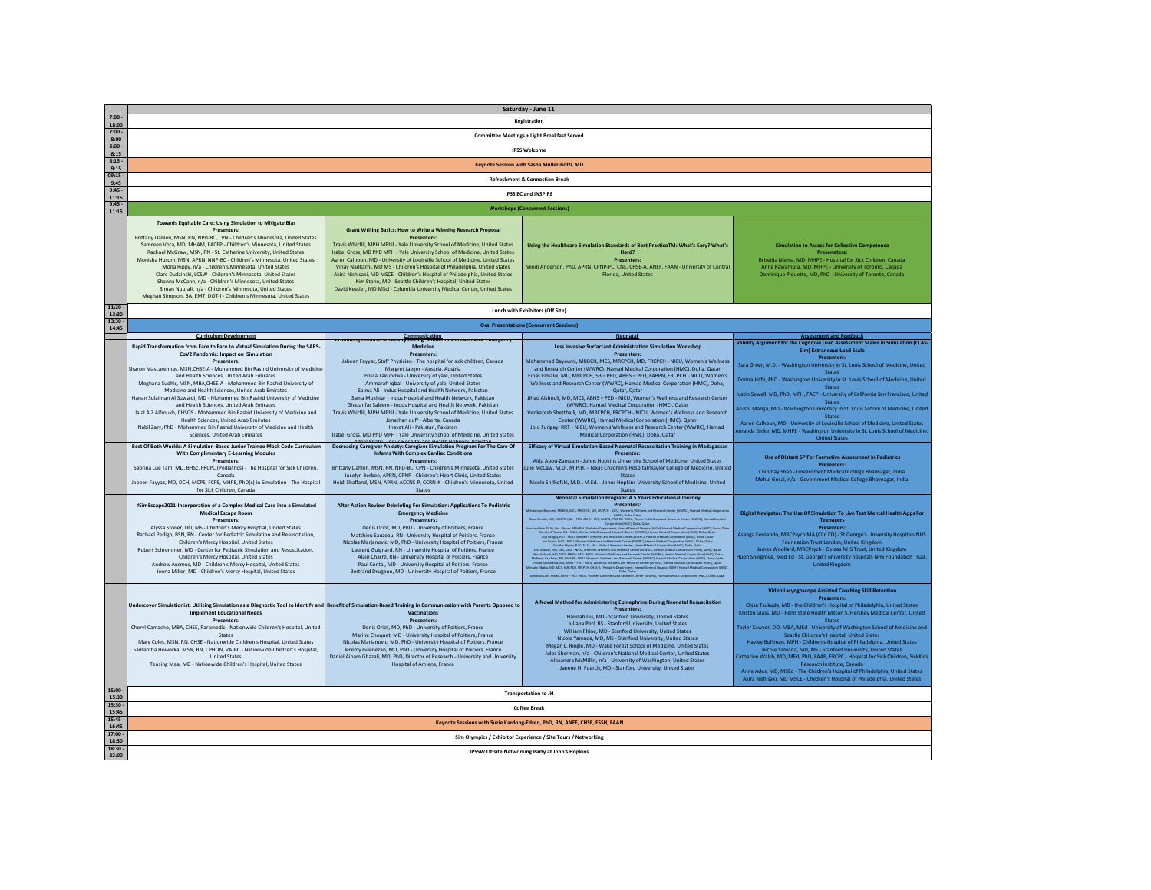| $7:00 -$           | Saturday - June 11                                                                                                                                     |                                                                                                                                                                   |                                                                                                                                                                                                                                      |                                                                                                                                        |
|--------------------|--------------------------------------------------------------------------------------------------------------------------------------------------------|-------------------------------------------------------------------------------------------------------------------------------------------------------------------|--------------------------------------------------------------------------------------------------------------------------------------------------------------------------------------------------------------------------------------|----------------------------------------------------------------------------------------------------------------------------------------|
| 18:00              | Registration                                                                                                                                           |                                                                                                                                                                   |                                                                                                                                                                                                                                      |                                                                                                                                        |
| $7:00 -$<br>8:00   | <b>Committee Meetings + Light Breakfast Served</b>                                                                                                     |                                                                                                                                                                   |                                                                                                                                                                                                                                      |                                                                                                                                        |
| 8:00               | <b>IPSS Welcome</b>                                                                                                                                    |                                                                                                                                                                   |                                                                                                                                                                                                                                      |                                                                                                                                        |
| 8:15<br>$8.15 -$   |                                                                                                                                                        |                                                                                                                                                                   |                                                                                                                                                                                                                                      |                                                                                                                                        |
| 9:15               |                                                                                                                                                        |                                                                                                                                                                   | Keynote Session with Sasha Muller-Botti, MD                                                                                                                                                                                          |                                                                                                                                        |
| $09:15 -$<br>9:45  |                                                                                                                                                        |                                                                                                                                                                   | <b>Refreshment &amp; Connection Break</b>                                                                                                                                                                                            |                                                                                                                                        |
| $9:45 -$           |                                                                                                                                                        |                                                                                                                                                                   | <b>IPSS EC and INSPIRE</b>                                                                                                                                                                                                           |                                                                                                                                        |
| 11:15<br>9:45      |                                                                                                                                                        |                                                                                                                                                                   |                                                                                                                                                                                                                                      |                                                                                                                                        |
| 11:15              |                                                                                                                                                        |                                                                                                                                                                   | <b>Workshops (Concurrent Sessions)</b>                                                                                                                                                                                               |                                                                                                                                        |
|                    | Towards Equitable Care: Using Simulation to Mitigate Bias                                                                                              |                                                                                                                                                                   |                                                                                                                                                                                                                                      |                                                                                                                                        |
|                    | Presenters:<br>Brittany Dahlen, MSN, RN, NPD-BC, CPN - Children's Minnesota, United States                                                             | <b>Grant Writing Basics: How to Write a Winning Research Proposal</b><br>Presenters:                                                                              |                                                                                                                                                                                                                                      |                                                                                                                                        |
|                    | Samreen Vora, MD, MHAM, FACEP - Children's Minnesota, United States                                                                                    | Travis Whitfill, MPH MPhil - Yale University School of Medicine, United States                                                                                    | Using the Healthcare Simulation Standards of Best PracticeTM: What's Easy? What's                                                                                                                                                    | <b>Simulation to Assess for Collective Competence</b>                                                                                  |
|                    | Rachael McGraw, MSN, RN - St. Catherine University, United States<br>Monisha Husom, MSN, APRN, NNP-BC - Children's Minnesota, United States            | Isabel Gross, MD PhD MPH - Yale University School of Medicine, United States<br>Aaron Calhoun, MD - University of Louisville School of Medicine, United States    | Hard?<br><b>Presenters:</b>                                                                                                                                                                                                          | <b>Preseneters:</b><br>Briseida Mema, MD, MHPE - Hospital for Sick Children, Canada                                                    |
|                    | Mona Rippy, n/a - Children's Minnesota, United States                                                                                                  | Vinay Nadkarni, MD MS - Children's Hospital of Philadelphia, United States                                                                                        | Mindi Anderson, PhD, APRN, CPNP-PC, CNE, CHSE-A, ANEF, FAAN - University of Central                                                                                                                                                  | Anne Kawamura, MD, MHPE - University of Toronto, Canada                                                                                |
|                    | Clare Dudzinski, LCSW - Children's Minnesota, United States<br>Shanna McCann, n/a - Children's Minnesota, United States                                | Akira Nishisaki, MD MSCE - Children's Hospital of Philadelphia, United States<br>Kim Stone, MD - Seattle Children's Hospital, United States                       | Florida, United States                                                                                                                                                                                                               | Dominique Piquette, MD, PhD - University of Toronto, Canada                                                                            |
|                    | Siman Nuurali, n/a - Children's Minnesota, United States                                                                                               | David Kessler, MD MSci - Columbia University Medical Center, United States                                                                                        |                                                                                                                                                                                                                                      |                                                                                                                                        |
|                    | Meghan Simpson, BA, EMT, DOT-I - Children's Minnesota, United States                                                                                   |                                                                                                                                                                   |                                                                                                                                                                                                                                      |                                                                                                                                        |
| $11:30 -$<br>13:30 |                                                                                                                                                        |                                                                                                                                                                   | Lunch with Exhibitors (Off Site)                                                                                                                                                                                                     |                                                                                                                                        |
| 13:30              |                                                                                                                                                        |                                                                                                                                                                   | <b>Oral Presentations (Concurrent Sessions)</b>                                                                                                                                                                                      |                                                                                                                                        |
| 14:45              | <b>Curriculum Development</b>                                                                                                                          | Communication<br>Promoting Cultural Sensitivity During Simula                                                                                                     | Neonatal                                                                                                                                                                                                                             | <b>Assessment and Feedback</b>                                                                                                         |
|                    | Rapid Transformation from Face to Face to Virtual Simulation During the SARS-                                                                          | itions in Paematric Emergency<br>Medicine                                                                                                                         | Less Invasive Surfactant Administration Simulation Workshop                                                                                                                                                                          | Validity Argument for the Cognitive Load Assessment Scales in Simulation (CLAS-<br>Sim) Extraneous Load Scale                          |
|                    | CoV2 Pandemic: Impact on Simulation                                                                                                                    | Presenters:                                                                                                                                                       | Presenters:                                                                                                                                                                                                                          | <b>Presenters:</b>                                                                                                                     |
|                    | Presenters:<br>Sharon Mascarenhas, MSN, CHSE-A - Mohammed Bin Rashid University of Medicine                                                            | Jabeen Fayyaz, Staff Physician - The hospital for sick children, Canada<br>Margret Jaeger - Austria, Austria                                                      | Mohammad Bayoumi, MBBCH, MCS, MRCPCH, MD, FRCPCH - NICU, Women's Wellness<br>and Research Center (WWRC), Hamad Medical Corporation (HMC), Doha, Qatar                                                                                | Sara Greer, M.D. - Washington University in St. Louis School of Medicine, United                                                       |
|                    | and Health Sciences, United Arab Emirates                                                                                                              | Prisca Takundwa - University of yale, United States                                                                                                               | Einas Elmalik, MD, MRCPCH, SB - PED, ABHS - PED, FABPN, FRCPCH - NICU, Women's                                                                                                                                                       | <b>States</b><br>Donna Jeffe, PhD - Washington University in St. Louis School of Medicine, United                                      |
|                    | Meghana Sudhir, MSN, MBA, CHSE-A - Mohammed Bin Rashid University of<br>Medicine and Health Sciences, United Arab Emirates                             | Ammarah Iqbal - University of yale, United States<br>Saima Ali - Indus Hospital and Health Network, Pakistan                                                      | Wellness and Research Center (WWRC), Hamad Medical Corporation (HMC), Doha,<br>Oatar, Oatar                                                                                                                                          | <b>States</b>                                                                                                                          |
|                    | Hanan Sulaiman Al Suwaidi, MD - Mohammed Bin Rashid University of Medicine                                                                             | Sama Mukhtar - Indus Hospital and Health Network, Pakistan                                                                                                        | Jihad Alshouli, MD. MCS, ABHS - PED - NICU, Women's Wellness and Research Center                                                                                                                                                     | lustin Sewell, MD, PhD, MPH, FACP - University of California San Francisco, United<br><b>States</b>                                    |
|                    | and Health Sciences, United Arab Emirates<br>Jalal A.Z Alfroukh, CHSOS - Mohammed Bin Rashid University of Medicine and                                | Ghazanfar Saleem - Indus Hospital and Health Network, Pakistan<br>Travis Whitfill, MPH MPhil - Yale University School of Medicine, United States                  | (WWRC), Hamad Medical Corporation (HMC), Qatar<br>Venkatesh Shetthalli, MD, MRCPCH, FRCPCH - NICU, Women's Wellness and Research                                                                                                     | Arushi Manga, MD - Washington University in St. Louis School of Medicine, United                                                       |
|                    | Health Sciences, United Arab Emirates                                                                                                                  | Ionathan duff - Alberta, Canada                                                                                                                                   | Center (WWRC), Hamad Medical Corporation (HMC), Oatar                                                                                                                                                                                | <b>States</b><br>Aaron Calhoun, MD - University of Louisville School of Medicine, United States                                        |
|                    | Nabil Zary, PhD - Mohammed Bin Rashid University of Medicine and Health<br>Sciences, United Arab Emirates                                              | Inayat Ali - Pakistan, Pakistan<br>Isabel Gross, MD PhD MPH - Yale University School of Medicine, United States                                                   | Jojo Furigay, RRT - NICU, Women's Wellness and Research Center (WWRC), Hamad<br>Medical Corporation (HMC), Doha, Qatar                                                                                                               | Imanda Emke, MD, MHPE - Washington University in St. Louis School of Medicine,                                                         |
|                    | Best Of Both Worlds: A Simulation-Based Junior Trainee Mock Code Curriculum                                                                            | Decreasing Caregiver Anxiety: Caregiver Simulation Program For The Care Of                                                                                        | Efficacy of Virtual Simulation-Based Neonatal Resuscitation Training in Madagascar                                                                                                                                                   | <b>United States</b>                                                                                                                   |
|                    | <b>With Complimentary E-Learning Modules</b>                                                                                                           | <b>Infants With Complex Cardiac Conditions</b><br>Presenters:                                                                                                     | Presenter                                                                                                                                                                                                                            | Use of Distant SP For Formative Assessment in Pediatrics                                                                               |
|                    | Presenters:<br>Sabrina Lue Tam, MD, BHSc, FRCPC (Pediatrics) - The Hospital for Sick Children,                                                         | Brittany Dahlen, MSN, RN, NPD-BC, CPN - Children's Minnesota, United States                                                                                       | Aida Abou-Zamzam - Johns Hopkins University School of Medicine, United States<br>ulie McCaw, M.D., M.P.H. - Texas Children's Hospital/Baylor College of Medicine, United                                                             | <b>Presenters:</b>                                                                                                                     |
|                    | Canada                                                                                                                                                 | Jocelyn Berbee, APRN, CPNP - Children's Heart Clinic, United States                                                                                               | States                                                                                                                                                                                                                               | Chinmay Shah - Government Medical College Bhavnagar, India<br>Mehul Gosai, n/a - Government Medical College Bhavnagar, India           |
|                    | Jabeen Fayyaz, MD, DCH, MCPS, FCPS, MHPE, PhD(c) in Simulation - The Hospital<br>for Sick Children, Canada                                             | Heidi Shafland, MSN, APRN, ACCNS-P, CCRN-K - Children's Minnesota, United<br>States                                                                               | Nicole Shilkofski, M.D., M.Ed. - Johns Hopkins University School of Medicine, United<br>States                                                                                                                                       |                                                                                                                                        |
|                    | #SimEscape2021-Incorporation of a Complex Medical Case into a Simulated                                                                                |                                                                                                                                                                   | <b>Neonatal Simulation Program: A 5 Years Educational Journey</b><br>Presenters:                                                                                                                                                     |                                                                                                                                        |
|                    | <b>Medical Escape Room</b>                                                                                                                             | After Action Review Debriefing For Simulation: Applications To Pediatric<br><b>Emergency Medicine</b>                                                             | lehammad Baycumi, MBBCH, MCS, MRCPCH, MD, FRCPCH - NECU, Wemen's Wellne<br>PIMC), Deha, Qatar<br>Einas Elmailk, MD, MRCPCH, SB -- PED, ABHS -- PED, FABPR, FRCPCH - NICU, Wome                                                       | Digital Navigator: The Use Of Simulation To Live Test Mental Health Apps For                                                           |
|                    | Presenters:                                                                                                                                            | Presenters:                                                                                                                                                       | o's Wellnam and Besearch Center (WWBC). Hamad Medical                                                                                                                                                                                | <b>Teenagers</b>                                                                                                                       |
|                    | Alyssa Stoner, DO, MS - Children's Mercy Hosptial, United States<br>Rachael Pedigo, BSN, RN - Center for Pediatric Simulation and Resuscitation,       | Denis Oriot, MD, PhD - University of Poitiers, France<br>Matthieu Sauzeau, RN - University Hospital of Poitiers, France                                           | to install UK, the first section of the control of the section of the section of the section of the control of the control of the section of the section of the control of the control of the section of the control of the c        | Presenters:<br>Asanga Fernando, MRCPsych MA (Clin ED) - St George's University Hospitals NHS                                           |
|                    | Children's Mercy Hospital, United States<br>Robert Schremmer, MD - Center for Pediatric Simulation and Resuscitation.                                  | Nicolas Marjanovic, MD, PhD - University Hospital of Poitiers, France                                                                                             |                                                                                                                                                                                                                                      | Foundation Trust London, United Kingdom<br>James Woollard, MRCPsych - Oxleas NHS Trust, United Kingdom                                 |
|                    | Children's Mercy Hospital, United States                                                                                                               | Laurent Guignard, RN - University Hospital of Poitiers, France<br>Alain Charré, RN - University Hospital of Poitiers, France                                      |                                                                                                                                                                                                                                      | Huon Snelgrove, Med Ed - St. George's university hospitals NHS Foundation Trust.                                                       |
|                    | Andrew Ausmus, MD - Children's Mercy Hospital, United States                                                                                           | Paul Contal, MD - University Hospital of Poitiers, France                                                                                                         |                                                                                                                                                                                                                                      | <b>United Kingdom</b>                                                                                                                  |
|                    | Jenna Miller, MD - Children's Mercy Hospital, United States                                                                                            | Bertrand Drugeon, MD - University Hospital of Poitiers, France                                                                                                    | eve, may may, may renew, FRLFLII, CRSCA - FEDISIOC LABORITERS, numid General Hospital (HG)<br>Lucil, MBBS, ABHS -- PED - NICU, Women's Wellness and Research Center (WWRC), Hamad Med<br>Lucil, MBBS, ABHS -- PED - NICU, Women's We |                                                                                                                                        |
|                    |                                                                                                                                                        |                                                                                                                                                                   |                                                                                                                                                                                                                                      | <b>Video Laryngoscope Assisted Coaching Skill Retention</b>                                                                            |
|                    |                                                                                                                                                        | Undercover Simulationist: Utilizing Simulation as a Diagnostic Tool to Identify and Benefit of Simulation-Based Training in Communication with Parents Opposed to | A Novel Method for Administering Epinephrine During Neonatal Resuscitation                                                                                                                                                           | <b>Presenters:</b><br>Chisa Tsukuda, MD - the Children's Hospital of Philadelphia, United States                                       |
|                    | <b>Implement Educational Needs</b>                                                                                                                     | Vaccinations                                                                                                                                                      | Presenters:<br>Hannah Gu, MD - Stanford University, United States                                                                                                                                                                    | Kristen Glass, MD - Penn State Health Milton S. Hershey Medical Center, United                                                         |
|                    | Presenters:<br>Cheryl Camacho, MBA, CHSE, Paramedic - Nationwide Children's Hospital, United                                                           | Presenters:<br>Denis Oriot, MD, PhD - University of Poitiers, France                                                                                              | Juliana Perl, BS - Stanford University, United States                                                                                                                                                                                | <b>States</b><br>Taylor Sawyer, DO, MBA, MEd - University of Washington School of Medicine and                                         |
|                    | States                                                                                                                                                 | Marine Choquet, MD - University Hospital of Poitiers, France                                                                                                      | William Rhine, MD - Stanford University, United States<br>Nicole Yamada, MD, MS - Stanford University, United States                                                                                                                 | Seattle Children's Hospital, United States                                                                                             |
|                    | Mary Coles, MSN, RN, CHSE - Nationwide Children's Hospital, United States<br>Samantha Howorka, MSN, RN, CPHON, VA-BC - Nationwide Children's Hospital, | Nicolas Marjanovic, MD, PhD - University Hospital of Poitiers, France<br>Jérémy Guénézan, MD, PhD - University Hospital of Poitiers, France                       | Megan L. Ringle, MD - Wake Forest School of Medicine, United States                                                                                                                                                                  | Hayley Buffman, MPH - Children's Hospital of Philadelphia, United States<br>Nicole Yamada, MD, MS - Stanford University, United States |
|                    | <b>United States</b>                                                                                                                                   | Daniel Aiham Ghazali, MD, PhD, Director of Research - University and University                                                                                   | Jules Sherman, n/a - Children's National Medical Center, United States<br>Alexandra McMillin, n/a - University of Washington, United States                                                                                          | Catharine Walsh, MD, MEd, PhD, FAAP, FRCPC - Hosnital for Sick Children, SickKids                                                      |
|                    | Tensing Maa, MD - Nationwide Children's Hospital, United States                                                                                        | Hospital of Amiens, France                                                                                                                                        | Janene H. Fuerch, MD - Stanford University, United States                                                                                                                                                                            | Research Institute, Canada<br>Anne Ades, MD, MSEd - The Children's Hospital of Philadelphia, United States                             |
|                    |                                                                                                                                                        |                                                                                                                                                                   |                                                                                                                                                                                                                                      | Akira Nishisaki, MD MSCE - Children's Hospital of Philadelphia, United States                                                          |
| $15:00 -$          |                                                                                                                                                        |                                                                                                                                                                   | <b>Transportation to JH</b>                                                                                                                                                                                                          |                                                                                                                                        |
| 15:30<br>15:30     |                                                                                                                                                        |                                                                                                                                                                   | <b>Coffee Break</b>                                                                                                                                                                                                                  |                                                                                                                                        |
| 15:45<br>15:45     |                                                                                                                                                        |                                                                                                                                                                   |                                                                                                                                                                                                                                      |                                                                                                                                        |
| 16:45              |                                                                                                                                                        |                                                                                                                                                                   | Keynote Sessions with Suzie Kardong-Edren, PhD, RN, ANEF, CHSE, FSSH, FAAN                                                                                                                                                           |                                                                                                                                        |
| 17:00<br>18:30     | Sim Olympics / Exhibitor Experience / Site Tours / Networking                                                                                          |                                                                                                                                                                   |                                                                                                                                                                                                                                      |                                                                                                                                        |
| 18:30.<br>22:00    | <b>IPSSW Offsite Networking Party at John's Hopkins</b>                                                                                                |                                                                                                                                                                   |                                                                                                                                                                                                                                      |                                                                                                                                        |
|                    |                                                                                                                                                        |                                                                                                                                                                   |                                                                                                                                                                                                                                      |                                                                                                                                        |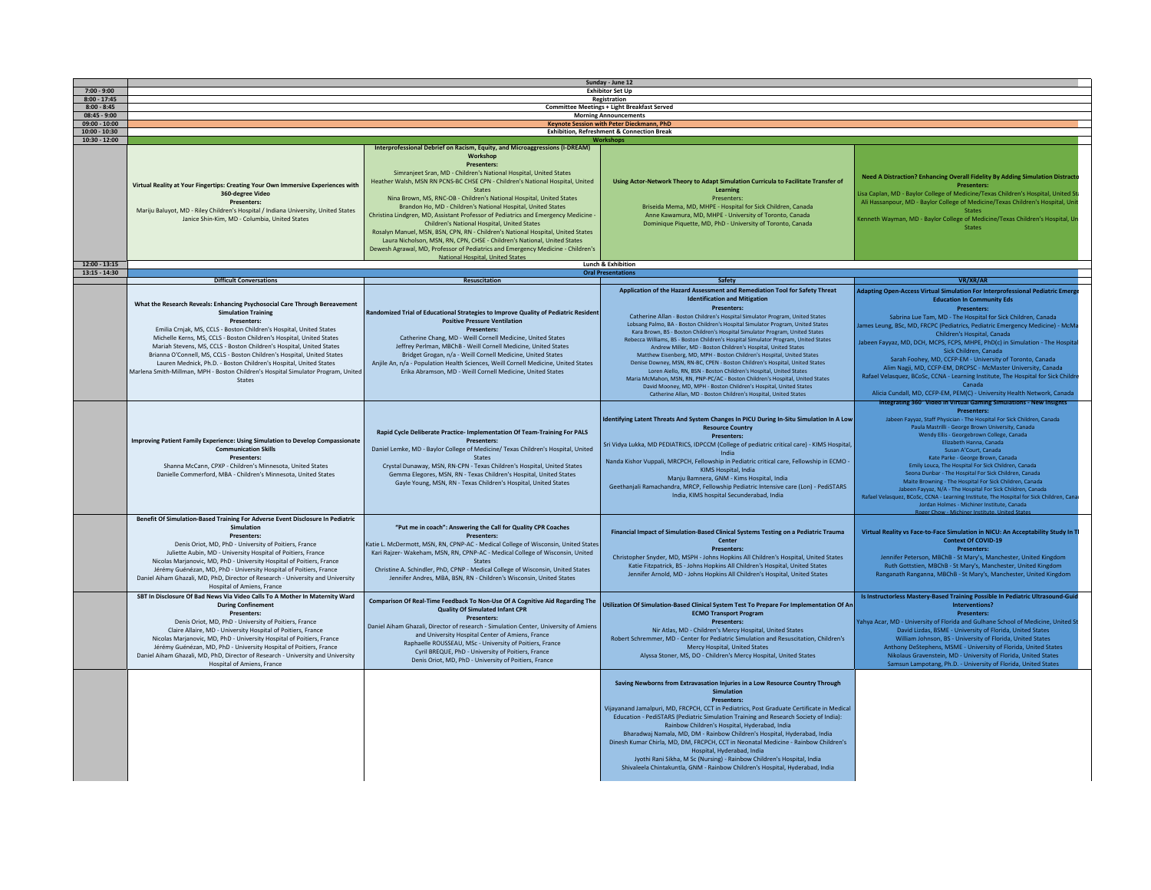|                                 | Sunday - June 12                                                                                                                                                                                                                                                                                                                                                                                                                                                                                                                                                                              |                                                                                                                                                                                                                                                                                                                                                                                                                                                                                                                                                                                                                                                                                                                                      |                                                                                                                                                                                                                                                                                                                                                                                                                                                                                                                                                                                                                                                                                                                                                                                                                                                                                                                                                                                                             |                                                                                                                                                                                                                                                                                                                                                                                                                                                                                                                                                                                                                                                                                                                                                                                                         |
|---------------------------------|-----------------------------------------------------------------------------------------------------------------------------------------------------------------------------------------------------------------------------------------------------------------------------------------------------------------------------------------------------------------------------------------------------------------------------------------------------------------------------------------------------------------------------------------------------------------------------------------------|--------------------------------------------------------------------------------------------------------------------------------------------------------------------------------------------------------------------------------------------------------------------------------------------------------------------------------------------------------------------------------------------------------------------------------------------------------------------------------------------------------------------------------------------------------------------------------------------------------------------------------------------------------------------------------------------------------------------------------------|-------------------------------------------------------------------------------------------------------------------------------------------------------------------------------------------------------------------------------------------------------------------------------------------------------------------------------------------------------------------------------------------------------------------------------------------------------------------------------------------------------------------------------------------------------------------------------------------------------------------------------------------------------------------------------------------------------------------------------------------------------------------------------------------------------------------------------------------------------------------------------------------------------------------------------------------------------------------------------------------------------------|---------------------------------------------------------------------------------------------------------------------------------------------------------------------------------------------------------------------------------------------------------------------------------------------------------------------------------------------------------------------------------------------------------------------------------------------------------------------------------------------------------------------------------------------------------------------------------------------------------------------------------------------------------------------------------------------------------------------------------------------------------------------------------------------------------|
| $7:00 - 9:00$                   |                                                                                                                                                                                                                                                                                                                                                                                                                                                                                                                                                                                               | <b>Exhibitor Set Up</b>                                                                                                                                                                                                                                                                                                                                                                                                                                                                                                                                                                                                                                                                                                              |                                                                                                                                                                                                                                                                                                                                                                                                                                                                                                                                                                                                                                                                                                                                                                                                                                                                                                                                                                                                             |                                                                                                                                                                                                                                                                                                                                                                                                                                                                                                                                                                                                                                                                                                                                                                                                         |
| $8:00 - 17:45$                  |                                                                                                                                                                                                                                                                                                                                                                                                                                                                                                                                                                                               | Registration                                                                                                                                                                                                                                                                                                                                                                                                                                                                                                                                                                                                                                                                                                                         |                                                                                                                                                                                                                                                                                                                                                                                                                                                                                                                                                                                                                                                                                                                                                                                                                                                                                                                                                                                                             |                                                                                                                                                                                                                                                                                                                                                                                                                                                                                                                                                                                                                                                                                                                                                                                                         |
| $8:00 - 8:45$<br>$08:45 - 9:00$ | Committee Meetings + Light Breakfast Served<br><b>Morning Announcements</b>                                                                                                                                                                                                                                                                                                                                                                                                                                                                                                                   |                                                                                                                                                                                                                                                                                                                                                                                                                                                                                                                                                                                                                                                                                                                                      |                                                                                                                                                                                                                                                                                                                                                                                                                                                                                                                                                                                                                                                                                                                                                                                                                                                                                                                                                                                                             |                                                                                                                                                                                                                                                                                                                                                                                                                                                                                                                                                                                                                                                                                                                                                                                                         |
| $09:00 - 10:00$                 |                                                                                                                                                                                                                                                                                                                                                                                                                                                                                                                                                                                               |                                                                                                                                                                                                                                                                                                                                                                                                                                                                                                                                                                                                                                                                                                                                      | Keynote Session with Peter Dieckmann, PhD                                                                                                                                                                                                                                                                                                                                                                                                                                                                                                                                                                                                                                                                                                                                                                                                                                                                                                                                                                   |                                                                                                                                                                                                                                                                                                                                                                                                                                                                                                                                                                                                                                                                                                                                                                                                         |
| $10:00 - 10:30$                 |                                                                                                                                                                                                                                                                                                                                                                                                                                                                                                                                                                                               |                                                                                                                                                                                                                                                                                                                                                                                                                                                                                                                                                                                                                                                                                                                                      | <b>Exhibition. Refreshment &amp; Connection Break</b>                                                                                                                                                                                                                                                                                                                                                                                                                                                                                                                                                                                                                                                                                                                                                                                                                                                                                                                                                       |                                                                                                                                                                                                                                                                                                                                                                                                                                                                                                                                                                                                                                                                                                                                                                                                         |
| $10:30 - 12:00$                 |                                                                                                                                                                                                                                                                                                                                                                                                                                                                                                                                                                                               |                                                                                                                                                                                                                                                                                                                                                                                                                                                                                                                                                                                                                                                                                                                                      |                                                                                                                                                                                                                                                                                                                                                                                                                                                                                                                                                                                                                                                                                                                                                                                                                                                                                                                                                                                                             |                                                                                                                                                                                                                                                                                                                                                                                                                                                                                                                                                                                                                                                                                                                                                                                                         |
|                                 |                                                                                                                                                                                                                                                                                                                                                                                                                                                                                                                                                                                               | Interprofessional Debrief on Racism, Equity, and Microaggressions (I-DREAM)<br>Workshop<br><b>Presenters:</b>                                                                                                                                                                                                                                                                                                                                                                                                                                                                                                                                                                                                                        |                                                                                                                                                                                                                                                                                                                                                                                                                                                                                                                                                                                                                                                                                                                                                                                                                                                                                                                                                                                                             |                                                                                                                                                                                                                                                                                                                                                                                                                                                                                                                                                                                                                                                                                                                                                                                                         |
|                                 | Virtual Reality at Your Fingertips: Creating Your Own Immersive Experiences with<br>360-degree Video<br><b>Presenters:</b><br>Mariju Baluyot, MD - Riley Children's Hospital / Indiana University, United States<br>Janice Shin-Kim, MD - Columbia, United States                                                                                                                                                                                                                                                                                                                             | Simranjeet Sran, MD - Children's National Hospital, United States<br>Heather Walsh, MSN RN PCNS-BC CHSE CPN - Children's National Hospital, United<br><b>States</b><br>Nina Brown, MS, RNC-OB - Children's National Hospital, United States<br>Brandon Ho, MD - Children's National Hospital, United States<br>Christina Lindgren, MD, Assistant Professor of Pediatrics and Emergency Medicine<br>Children's National Hospital, United States<br>Rosalyn Manuel, MSN, BSN, CPN, RN - Children's National Hospital, United States<br>Laura Nicholson, MSN, RN, CPN, CHSE - Children's National, United States<br>Dewesh Agrawal, MD, Professor of Pediatrics and Emergency Medicine - Children's<br>National Hospital, United States | Using Actor-Network Theory to Adapt Simulation Curricula to Facilitate Transfer of<br>Learning<br>Presenters:<br>Briseida Mema, MD, MHPE - Hospital for Sick Children, Canada<br>Anne Kawamura, MD, MHPE - University of Toronto, Canada<br>Dominique Piquette, MD, PhD - University of Toronto, Canada                                                                                                                                                                                                                                                                                                                                                                                                                                                                                                                                                                                                                                                                                                     | <b>Need A Distraction? Enhancing Overall Fidelity By Adding Simulation Distracte</b><br><b>Presenters:</b><br>Lisa Caplan, MD - Baylor College of Medicine/Texas Children's Hospital, United St<br>Ali Hassanpour, MD - Baylor College of Medicine/Texas Children's Hospital, Uni<br><b>States</b><br>Cenneth Wayman, MD - Baylor College of Medicine/Texas Children's Hospital, Ur<br><b>States</b>                                                                                                                                                                                                                                                                                                                                                                                                    |
| $12:00 - 13:15$                 |                                                                                                                                                                                                                                                                                                                                                                                                                                                                                                                                                                                               |                                                                                                                                                                                                                                                                                                                                                                                                                                                                                                                                                                                                                                                                                                                                      | Lunch & Exhibition                                                                                                                                                                                                                                                                                                                                                                                                                                                                                                                                                                                                                                                                                                                                                                                                                                                                                                                                                                                          |                                                                                                                                                                                                                                                                                                                                                                                                                                                                                                                                                                                                                                                                                                                                                                                                         |
| $13:15 - 14:30$                 |                                                                                                                                                                                                                                                                                                                                                                                                                                                                                                                                                                                               |                                                                                                                                                                                                                                                                                                                                                                                                                                                                                                                                                                                                                                                                                                                                      | <b>Oral Presentations</b>                                                                                                                                                                                                                                                                                                                                                                                                                                                                                                                                                                                                                                                                                                                                                                                                                                                                                                                                                                                   |                                                                                                                                                                                                                                                                                                                                                                                                                                                                                                                                                                                                                                                                                                                                                                                                         |
|                                 | <b>Difficult Conversations</b>                                                                                                                                                                                                                                                                                                                                                                                                                                                                                                                                                                | <b>Resuscitation</b>                                                                                                                                                                                                                                                                                                                                                                                                                                                                                                                                                                                                                                                                                                                 | Safety                                                                                                                                                                                                                                                                                                                                                                                                                                                                                                                                                                                                                                                                                                                                                                                                                                                                                                                                                                                                      | VR/XR/AR                                                                                                                                                                                                                                                                                                                                                                                                                                                                                                                                                                                                                                                                                                                                                                                                |
|                                 | What the Research Reveals: Enhancing Psychosocial Care Through Bereavement<br><b>Simulation Training</b><br>Presenters:<br>Emilia Crnjak, MS, CCLS - Boston Children's Hospital, United States<br>Michelle Kerns, MS, CCLS - Boston Children's Hospital, United States<br>Mariah Stevens, MS, CCLS - Boston Children's Hospital, United States<br>Brianna O'Connell, MS, CCLS - Boston Children's Hospital, United States<br>Lauren Mednick, Ph.D. - Boston Children's Hospital, United States<br>Marlena Smith-Millman, MPH - Boston Children's Hospital Simulator Program, United<br>States | Randomized Trial of Educational Strategies to Improve Quality of Pediatric Resident<br><b>Positive Pressure Ventilation</b><br><b>Presenters:</b><br>Catherine Chang, MD - Weill Cornell Medicine, United States<br>Jeffrey Perlman, MBChB - Weill Cornell Medicine, United States<br>Bridget Grogan, n/a - Weill Cornell Medicine, United States<br>Anjile An, n/a - Population Health Sciences, Weill Cornell Medicine, United States<br>Erika Abramson, MD - Weill Cornell Medicine, United States                                                                                                                                                                                                                                | Application of the Hazard Assessment and Remediation Tool for Safety Threat<br><b>Identification and Mitigation</b><br><b>Presenters:</b><br>Catherine Allan - Boston Children's Hospital Simulator Program, United States<br>Lobsang Palmo, BA - Boston Children's Hospital Simulator Program, United States<br>Kara Brown, BS - Boston Children's Hospital Simulator Program, United States<br>Rebecca Williams, BS - Boston Children's Hospital Simulator Program, United States<br>Andrew Miller, MD - Boston Children's Hospital, United States<br>Matthew Eisenberg, MD, MPH - Boston Children's Hospital, United States<br>Denise Downey, MSN, RN-BC, CPEN - Boston Children's Hospital, United States<br>Loren Aiello, RN, BSN - Boston Children's Hospital, United States<br>Maria McMahon, MSN, RN, PNP-PC/AC - Boston Children's Hospital, United States<br>David Mooney, MD, MPH - Boston Children's Hospital, United States<br>Catherine Allan, MD - Boston Children's Hospital, United States | Adapting Open-Access Virtual Simulation For Interprofessional Pediatric Emerg<br><b>Education In Community Eds</b><br>Presenters:<br>Sabrina Lue Tam, MD - The Hospital for Sick Children, Canada<br>ames Leung, BSc, MD, FRCPC (Pediatrics, Pediatric Emergency Medicine) - McMa<br>Children's Hospital, Canada<br>Jabeen Fayyaz, MD, DCH, MCPS, FCPS, MHPE, PhD(c) in Simulation - The Hospit<br>Sick Children, Canada<br>Sarah Foohey, MD, CCFP-EM - University of Toronto, Canada<br>Alim Nagji, MD, CCFP-EM, DRCPSC - McMaster University, Canada<br>Rafael Velasquez, BCoSc, CCNA - Learning Institute, The Hospital for Sick Childre<br>Canada<br>Alicia Cundall, MD, CCFP-EM, PEM(C) - University Health Network, Canada<br>Integrating 360° Video in Virtual Gaming Simulations - New Insights |
|                                 | Improving Patient Family Experience: Using Simulation to Develop Compassionate<br><b>Communication Skills</b><br>Presenters:<br>Shanna McCann, CPXP - Children's Minnesota, United States<br>Danielle Commerford, MBA - Children's Minnesota, United States                                                                                                                                                                                                                                                                                                                                   | Rapid Cycle Deliberate Practice- Implementation Of Team-Training For PALS<br><b>Presenters:</b><br>Daniel Lemke, MD - Baylor College of Medicine/ Texas Children's Hospital, United<br>States<br>Crystal Dunaway, MSN, RN-CPN - Texas Children's Hospital, United States<br>Gemma Elegores, MSN, RN - Texas Children's Hospital, United States<br>Gayle Young, MSN, RN - Texas Children's Hospital, United States                                                                                                                                                                                                                                                                                                                    | Identifying Latent Threats And System Changes In PICU During In-Situ Simulation In A Low<br><b>Resource Country</b><br><b>Presenters:</b><br>Sri Vidya Lukka, MD PEDIATRICS, IDPCCM (College of pediatric critical care) - KIMS Hospital,<br>India<br>Nanda Kishor Vuppali, MRCPCH, Fellowship in Pediatric critical care, Fellowship in ECMO<br>KIMS Hospital, India<br>Manju Bamnera, GNM - Kims Hospital, India<br>Geethanjali Ramachandra, MRCP, Fellowship Pediatric Intensive care (Lon) - PediSTARS<br>India, KIMS hospital Secunderabad, India                                                                                                                                                                                                                                                                                                                                                                                                                                                      | <b>Presenters:</b><br>Jabeen Fayyaz, Staff Physician - The Hospital For Sick Children, Canada<br>Paula Mastrilli - George Brown University, Canada<br>Wendy Ellis - Georgebrown College, Canada<br>Elizabeth Hanna, Canada<br>Susan A'Court, Canada<br>Kate Parke - George Brown, Canada<br>Emily Louca, The Hospital For Sick Children, Canada<br>Seona Dunbar - The Hospital For Sick Children, Canada<br>Maite Browning - The Hospital For Sick Children, Canada<br>Jabeen Fayyaz, N/A - The Hospital For Sick Children, Canada<br>Rafael Velasquez, BCoSc, CCNA - Learning Institute, The Hospital for Sick Children, Can<br>Jordan Holmes - Michiner Institute, Canada<br><b>Roger Chow - Michiner Institute, United State</b>                                                                     |
|                                 | Benefit Of Simulation-Based Training For Adverse Event Disclosure In Pediatric<br>Simulation<br>Presenters:<br>Denis Oriot, MD, PhD - University of Poitiers, France<br>Juliette Aubin, MD - University Hospital of Poitiers, France<br>Nicolas Marjanovic, MD, PhD - University Hospital of Poitiers, France<br>Jérémy Guénézan, MD, PhD - University Hospital of Poitiers, France<br>Daniel Aiham Ghazali, MD, PhD, Director of Research - University and University<br>Hospital of Amiens, France                                                                                          | "Put me in coach": Answering the Call for Quality CPR Coaches<br><b>Presenters:</b><br>Katie L. McDermott, MSN, RN, CPNP-AC - Medical College of Wisconsin, United States<br>Kari Rajzer- Wakeham, MSN, RN, CPNP-AC - Medical College of Wisconsin, United<br><b>States</b><br>Christine A. Schindler, PhD, CPNP - Medical College of Wisconsin, United States<br>Jennifer Andres, MBA, BSN, RN - Children's Wisconsin, United States                                                                                                                                                                                                                                                                                                | Financial Impact of Simulation-Based Clinical Systems Testing on a Pediatric Trauma<br>Center<br>Presenters:<br>Christopher Snyder, MD, MSPH - Johns Hopkins All Children's Hospital, United States<br>Katie Fitzpatrick, BS - Johns Hopkins All Children's Hospital, United States<br>Jennifer Arnold, MD - Johns Hopkins All Children's Hospital, United States                                                                                                                                                                                                                                                                                                                                                                                                                                                                                                                                                                                                                                           | Virtual Reality vs Face-to-Face Simulation in NICU: An Acceptability Study In 1<br><b>Context Of COVID-19</b><br>Presenters:<br>Jennifer Peterson, MBChB - St Mary's, Manchester, United Kingdom<br>Ruth Gottstien, MBChB - St Mary's, Manchester, United Kingdom<br>Ranganath Ranganna, MBChB - St Mary's, Manchester, United Kingdom                                                                                                                                                                                                                                                                                                                                                                                                                                                                  |
|                                 | SBT In Disclosure Of Bad News Via Video Calls To A Mother In Maternity Ward<br><b>During Confinement</b><br>Presenters:<br>Denis Oriot, MD, PhD - University of Poitiers, France<br>Claire Allaire, MD - University Hospital of Poitiers, France<br>Nicolas Marianovic, MD, PhD - University Hospital of Poitiers, France<br>Jérémy Guénézan, MD, PhD - University Hospital of Poitiers, France<br>Daniel Aiham Ghazali, MD, PhD, Director of Research - University and University<br>Hospital of Amiens, France                                                                              | Comparison Of Real-Time Feedback To Non-Use Of A Cognitive Aid Regarding The<br><b>Quality Of Simulated Infant CPR</b><br>Presenters:<br>Daniel Aiham Ghazali, Director of research - Simulation Center, University of Amiens<br>and University Hospital Center of Amiens, France<br>Raphaelle ROUSSEAU, MSc - University of Poitiers, France<br>Cyril BREQUE, PhD - University of Poitiers, France<br>Denis Oriot, MD, PhD - University of Poitiers, France                                                                                                                                                                                                                                                                         | Utilization Of Simulation-Based Clinical System Test To Prepare For Implementation Of An<br><b>ECMO Transport Program</b><br><b>Presenters:</b><br>Nir Atlas, MD - Children's Mercy Hospital, United States<br>Robert Schremmer, MD - Center for Pediatric Simulation and Resuscitation, Children's<br>Mercy Hospital, United States<br>Alyssa Stoner, MS, DO - Children's Mercy Hospital, United States                                                                                                                                                                                                                                                                                                                                                                                                                                                                                                                                                                                                    | Is Instructorless Mastery-Based Training Possible In Pediatric Ultrasound-Guid<br>Interventions?<br><b>Presenters:</b><br>Yahya Acar, MD - University of Florida and Gulhane School of Medicine, United St<br>David Lizdas, BSME - University of Florida, United States<br>William Johnson, BS - University of Florida, United States<br>Anthony DeStephens, MSME - University of Florida, United States<br>Nikolaus Gravenstein, MD - University of Florida, United States<br>Samsun Lampotang, Ph.D. - University of Florida, United States                                                                                                                                                                                                                                                           |
|                                 |                                                                                                                                                                                                                                                                                                                                                                                                                                                                                                                                                                                               |                                                                                                                                                                                                                                                                                                                                                                                                                                                                                                                                                                                                                                                                                                                                      | Saving Newborns from Extravasation Injuries in a Low Resource Country Through<br>Simulation<br>Presenters:<br>Vijayanand Jamalpuri, MD, FRCPCH, CCT in Pediatrics, Post Graduate Certificate in Medical<br>Education - PediSTARS (Pediatric Simulation Training and Research Society of India):<br>Rainbow Children's Hospital, Hyderabad, India<br>Bharadwaj Namala, MD, DM - Rainbow Children's Hospital, Hyderabad, India<br>Dinesh Kumar Chirla, MD, DM, FRCPCH, CCT in Neonatal Medicine - Rainbow Children's<br>Hospital, Hyderabad, India<br>Jyothi Rani Sikha, M Sc (Nursing) - Rainbow Children's Hospital, India<br>Shivaleela Chintakuntla, GNM - Rainbow Children's Hospital, Hyderabad, India                                                                                                                                                                                                                                                                                                  |                                                                                                                                                                                                                                                                                                                                                                                                                                                                                                                                                                                                                                                                                                                                                                                                         |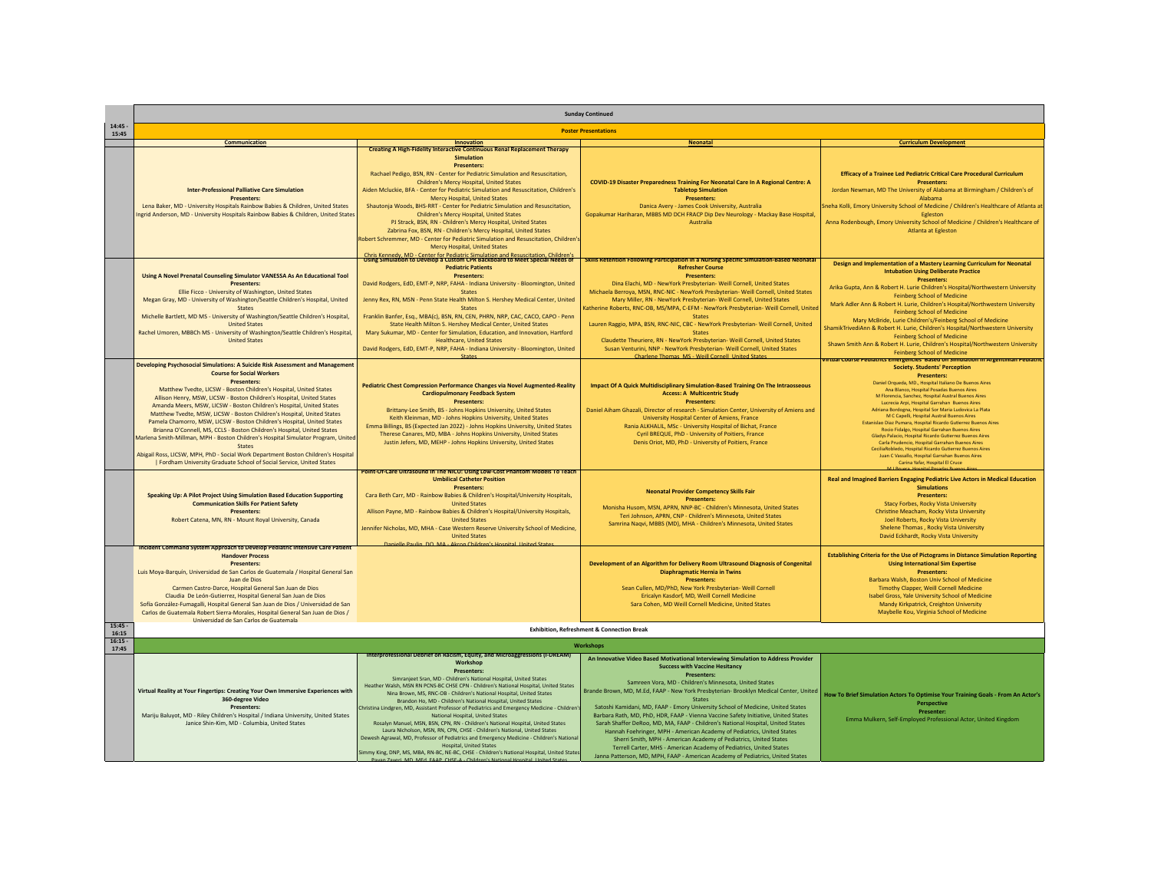|                    | <b>Sunday Continued</b>                                                                                                                                                                                                                                                                                                                                                                                                                                                                                                                                                                                                                                                                                                                                                                                                                                           |                                                                                                                                                                                                                                                                                                                                                                                                                                                                                                                                                                                                                                                                                                                                                                                                                                                                                                                                                                                                                       |                                                                                                                                                                                                                                                                                                                                                                                                                                                                                                                                                                                                                                                                                                                                                                                                                                                                                           |                                                                                                                                                                                                                                                                                                                                                                                                                                                                                                                                                                                                                                                                                                                                                                                                                                                                  |
|--------------------|-------------------------------------------------------------------------------------------------------------------------------------------------------------------------------------------------------------------------------------------------------------------------------------------------------------------------------------------------------------------------------------------------------------------------------------------------------------------------------------------------------------------------------------------------------------------------------------------------------------------------------------------------------------------------------------------------------------------------------------------------------------------------------------------------------------------------------------------------------------------|-----------------------------------------------------------------------------------------------------------------------------------------------------------------------------------------------------------------------------------------------------------------------------------------------------------------------------------------------------------------------------------------------------------------------------------------------------------------------------------------------------------------------------------------------------------------------------------------------------------------------------------------------------------------------------------------------------------------------------------------------------------------------------------------------------------------------------------------------------------------------------------------------------------------------------------------------------------------------------------------------------------------------|-------------------------------------------------------------------------------------------------------------------------------------------------------------------------------------------------------------------------------------------------------------------------------------------------------------------------------------------------------------------------------------------------------------------------------------------------------------------------------------------------------------------------------------------------------------------------------------------------------------------------------------------------------------------------------------------------------------------------------------------------------------------------------------------------------------------------------------------------------------------------------------------|------------------------------------------------------------------------------------------------------------------------------------------------------------------------------------------------------------------------------------------------------------------------------------------------------------------------------------------------------------------------------------------------------------------------------------------------------------------------------------------------------------------------------------------------------------------------------------------------------------------------------------------------------------------------------------------------------------------------------------------------------------------------------------------------------------------------------------------------------------------|
| 14.45<br>15:45     | <b>Poster Presentations</b>                                                                                                                                                                                                                                                                                                                                                                                                                                                                                                                                                                                                                                                                                                                                                                                                                                       |                                                                                                                                                                                                                                                                                                                                                                                                                                                                                                                                                                                                                                                                                                                                                                                                                                                                                                                                                                                                                       |                                                                                                                                                                                                                                                                                                                                                                                                                                                                                                                                                                                                                                                                                                                                                                                                                                                                                           |                                                                                                                                                                                                                                                                                                                                                                                                                                                                                                                                                                                                                                                                                                                                                                                                                                                                  |
|                    | Communication                                                                                                                                                                                                                                                                                                                                                                                                                                                                                                                                                                                                                                                                                                                                                                                                                                                     | Innovation                                                                                                                                                                                                                                                                                                                                                                                                                                                                                                                                                                                                                                                                                                                                                                                                                                                                                                                                                                                                            | <b>Neonatal</b>                                                                                                                                                                                                                                                                                                                                                                                                                                                                                                                                                                                                                                                                                                                                                                                                                                                                           | <b>Curriculum Development</b>                                                                                                                                                                                                                                                                                                                                                                                                                                                                                                                                                                                                                                                                                                                                                                                                                                    |
|                    | <b>Inter-Professional Palliative Care Simulation</b><br><b>Presenters:</b><br>Lena Baker, MD - University Hospitals Rainbow Babies & Children, United States<br>Ingrid Anderson, MD - University Hospitals Rainbow Babies & Children, United States                                                                                                                                                                                                                                                                                                                                                                                                                                                                                                                                                                                                               | <b>Creating A High-Fidelity Interactive Continuous Renal Replacement Therapy</b><br><b>Simulation</b><br><b>Presenters:</b><br>Rachael Pedigo, BSN, RN - Center for Pediatric Simulation and Resuscitation,<br>Children's Mercy Hospital, United States<br>Aiden Mcluckie, BFA - Center for Pediatric Simulation and Resuscitation, Children's<br>Mercy Hospital, United States<br>Shautonja Woods, BHS-RRT - Center for Pediatric Simulation and Resuscitation,<br>Children's Mercy Hospital, United States<br>PJ Strack, BSN, RN - Children's Mercy Hospital, United States<br>Zabrina Fox, BSN, RN - Children's Mercy Hospital, United States<br>Robert Schremmer, MD - Center for Pediatric Simulation and Resuscitation, Children's<br><b>Mercy Hospital, United States</b>                                                                                                                                                                                                                                      | COVID-19 Disaster Preparedness Training For Neonatal Care In A Regional Centre: A<br><b>Tabletop Simulation</b><br><b>Presenters:</b><br>Danica Avery - James Cook University, Australia<br>Gopakumar Hariharan, MBBS MD DCH FRACP Dip Dev Neurology - Mackay Base Hospital,<br>Australia                                                                                                                                                                                                                                                                                                                                                                                                                                                                                                                                                                                                 | Efficacy of a Trainee Led Pediatric Critical Care Procedural Curriculum<br><b>Presenters:</b><br>Jordan Newman, MD The University of Alabama at Birmingham / Children's of<br>Alahama<br>ineha Kolli, Emory University School of Medicine / Children's Healthcare of Atlanta at<br>Egleston<br>Anna Rodenbough, Emory University School of Medicine / Children's Healthcare of<br><b>Atlanta at Egleston</b>                                                                                                                                                                                                                                                                                                                                                                                                                                                     |
|                    |                                                                                                                                                                                                                                                                                                                                                                                                                                                                                                                                                                                                                                                                                                                                                                                                                                                                   | Chris Kennedy, MD - Center for Pediatric Simulation and Resuscitation, Children's<br>Using Simulation to Develop a Custom CPR Backboard to Meet Special Needs of                                                                                                                                                                                                                                                                                                                                                                                                                                                                                                                                                                                                                                                                                                                                                                                                                                                      | Skills Retention Following Participation in a Nursing Specific Simulation-Based Neonatal                                                                                                                                                                                                                                                                                                                                                                                                                                                                                                                                                                                                                                                                                                                                                                                                  | Design and Implementation of a Mastery Learning Curriculum for Neonatal                                                                                                                                                                                                                                                                                                                                                                                                                                                                                                                                                                                                                                                                                                                                                                                          |
|                    | Using A Novel Prenatal Counseling Simulator VANESSA As An Educational Tool<br><b>Presenters:</b><br>Ellie Ficco - University of Washington, United States<br>Megan Gray, MD - University of Washington/Seattle Children's Hospital, United<br><b>States</b><br>Michelle Bartlett, MD MS - University of Washington/Seattle Children's Hospital,<br><b>United States</b><br>Rachel Umoren, MBBCh MS - University of Washington/Seattle Children's Hospital,<br><b>United States</b>                                                                                                                                                                                                                                                                                                                                                                                | <b>Pediatric Patients</b><br><b>Presenters:</b><br>David Rodgers, EdD, EMT-P, NRP, FAHA - Indiana University - Bloomington, United<br><b>States</b><br>Jenny Rex, RN, MSN - Penn State Health Milton S. Hershey Medical Center, United<br><b>States</b><br>Franklin Banfer, Esq., MBA(c), BSN, RN, CEN, PHRN, NRP, CAC, CACO, CAPO - Penn<br>State Health Milton S. Hershey Medical Center, United States<br>Mary Sukumar, MD - Center for Simulation, Education, and Innovation, Hartford<br><b>Healthcare, United States</b><br>David Rodgers, EdD, EMT-P, NRP, FAHA - Indiana University - Bloomington, United                                                                                                                                                                                                                                                                                                                                                                                                     | <b>Refresher Course</b><br><b>Presenters:</b><br>Dina Elachi, MD - NewYork Presbyterian- Weill Cornell, United States<br>Michaela Berroya, MSN, RNC-NIC - NewYork Presbyterian- Weill Cornell, United States<br>Mary Miller, RN - NewYork Presbyterian- Weill Cornell, United States<br>Catherine Roberts, RNC-OB, MS/MPA, C-EFM - NewYork Presbyterian- Weill Cornell, United<br><b>States</b><br>Lauren Raggio, MPA, BSN, RNC-NIC, CBC - NewYork Presbyterian- Weill Cornell, United<br><b>States</b><br>Claudette Theuriere, RN - NewYork Presbyterian- Weill Cornell, United States<br>Susan Venturini, NNP - NewYork Presbyterian- Weill Cornell, United States                                                                                                                                                                                                                      | <b>Intubation Using Deliberate Practice</b><br><b>Presenters:</b><br>Arika Gupta, Ann & Robert H. Lurie Children's Hospital/Northwestern University<br><b>Feinberg School of Medicine</b><br>Mark Adler Ann & Robert H. Lurie, Children's Hospital/Northwestern University<br><b>Feinberg School of Medicine</b><br>Mary McBride, Lurie Children's/Feinberg School of Medicine<br>ShamikTrivediAnn & Robert H. Lurie, Children's Hospital/Northwestern University<br><b>Feinberg School of Medicine</b><br>Shawn Smith Ann & Robert H. Lurie, Children's Hospital/Northwestern University<br>Feinberg School of Medicine                                                                                                                                                                                                                                         |
|                    | Developing Psychosocial Simulations: A Suicide Risk Assessment and Management<br><b>Course for Social Workers</b><br><b>Presenters:</b><br>Matthew Tvedte, LICSW - Boston Children's Hospital, United States<br>Allison Henry, MSW, LICSW - Boston Children's Hospital, United States<br>Amanda Meers, MSW, LICSW - Boston Children's Hospital, United States<br>Matthew Tyedte, MSW, LICSW - Boston Children's Hospital, United States<br>Pamela Chamorro, MSW, LICSW - Boston Children's Hospital, United States<br>Brianna O'Connell, MS, CCLS - Boston Children's Hospital, United States<br>Marlena Smith-Millman, MPH - Boston Children's Hospital Simulator Program, United<br><b>States</b><br>Abigail Ross, LICSW, MPH, PhD - Social Work Department Boston Children's Hospital<br>  Fordham University Graduate School of Social Service, United States | Stater<br>Pediatric Chest Compression Performance Changes via Novel Augmented-Reality<br><b>Cardiopulmonary Feedback System</b><br><b>Presenters:</b><br>Brittany-Lee Smith, BS - Johns Hopkins University, United States<br>Keith Kleinman, MD - Johns Hopkins University, United States<br>Emma Billings, BS (Expected Jan 2022) - Johns Hopkins University, United States<br>Therese Canares, MD, MBA - Johns Hopkins University, United States<br>Justin Jefers, MD, MEHP - Johns Hopkins University, United States                                                                                                                                                                                                                                                                                                                                                                                                                                                                                               | Charlene Thomas, MS - Weill Cornell, United State<br>Impact Of A Quick Multidisciplinary Simulation-Based Training On The Intraosseous<br><b>Access: A Multicentric Study</b><br><b>Presenters:</b><br>Daniel Aiham Ghazali, Director of research - Simulation Center, University of Amiens and<br>University Hospital Center of Amiens, France<br>Rania ALKHALIL, MSc - University Hospital of Bichat, France<br>Cyril BREQUE, PhD - University of Poitiers, France<br>Denis Oriot, MD, PhD - University of Poitiers, France                                                                                                                                                                                                                                                                                                                                                             | <b>Intual Course Pediatrics Emergencies Based on Simulation in Argentinian Pediatric</b><br><b>Society. Students' Perception</b><br><b>Presenters:</b><br>Daniel Orqueda, MD., Hospital Italiano De Buenos Aires<br>Ana Blanco, Hospital Posadas Buenos Aires<br>M Florencia, Sanchez, Hospital Austral Buenos Aires<br>Lucrecia Arpi, Hospital Garrahan Buenos Aires<br>Adriana Bordogna, Hospital Sor Maria Ludovica La Plata<br>M C Capelli, Hospital Austral Buenos Aires<br>Estanislao Diaz Pumara, Hospital Ricardo Gutierrez Buenos Aires<br>Rocio Fidalgo, Hospital Garrahan Buenos Aires<br>Gladys Palacio, Hospital Ricardo Gutierrez Buenos Aires<br>Carla Prudencio, Hospital Garrahan Buenos Aires<br>CeciliaRobledo, Hospital Ricardo Gutierrez Buenos Aires<br>Juan C Vassallo, Hospital Garrahan Buenos Aires<br>Carina Yafar, Hospital El Cruce |
|                    | Speaking Up: A Pilot Project Using Simulation Based Education Supporting<br><b>Communication Skills For Patient Safety</b><br><b>Presenters:</b><br>Robert Catena, MN, RN - Mount Royal University, Canada<br><b>Incident Command System Approach to Develop Pediatric Intensive Care Patient</b>                                                                                                                                                                                                                                                                                                                                                                                                                                                                                                                                                                 | Point-Of-Care Ultrasound In The NICU: Using Low-Cost Phantom Models To Teach<br><b>Umbilical Catheter Position</b><br>Presenters:<br>Cara Beth Carr, MD - Rainbow Babies & Children's Hospital/University Hospitals,<br><b>United States</b><br>Allison Payne, MD - Rainbow Babies & Children's Hospital/University Hospitals,<br><b>United States</b><br>Jennifer Nicholas, MD, MHA - Case Western Reserve University School of Medicine,<br><b>United States</b><br>Danielle Paulin, DO, MA - Akron Children's Hospital, United States                                                                                                                                                                                                                                                                                                                                                                                                                                                                              | <b>Neonatal Provider Competency Skills Fair</b><br><b>Presenters:</b><br>Monisha Husom, MSN, APRN, NNP-BC - Children's Minnesota, United States<br>Teri Johnson, APRN, CNP - Children's Minnesota, United States<br>Samrina Naqvi, MBBS (MD), MHA - Children's Minnesota, United States                                                                                                                                                                                                                                                                                                                                                                                                                                                                                                                                                                                                   | Real and Imagined Barriers Engaging Pediatric Live Actors in Medical Education<br><b>Simulations</b><br><b>Presenters:</b><br><b>Stacy Forbes, Rocky Vista University</b><br>Christine Meacham, Rocky Vista University<br>Joel Roberts, Rocky Vista University<br>Shelene Thomas, Rocky Vista University<br>David Eckhardt, Rocky Vista University                                                                                                                                                                                                                                                                                                                                                                                                                                                                                                               |
|                    | <b>Handover Process</b><br>Presenters:<br>Luis Moya-Barquín, Universidad de San Carlos de Guatemala / Hospital General San<br>Juan de Dios<br>Carmen Castro-Darce, Hospital General San Juan de Dios<br>Claudia De León-Gutierrez, Hospital General San Juan de Dios<br>Sofía González-Fumagalli, Hospital General San Juan de Dios / Universidad de San<br>Carlos de Guatemala Robert Sierra-Morales, Hospital General San Juan de Dios /<br>Universidad de San Carlos de Guatemala                                                                                                                                                                                                                                                                                                                                                                              |                                                                                                                                                                                                                                                                                                                                                                                                                                                                                                                                                                                                                                                                                                                                                                                                                                                                                                                                                                                                                       | Development of an Algorithm for Delivery Room Ultrasound Diagnosis of Congenital<br><b>Diaphragmatic Hernia in Twins</b><br><b>Presenters:</b><br>Sean Cullen, MD/PhD, New York Presbyterian- Weill Cornell<br>Ericalyn Kasdorf, MD, Weill Cornell Medicine<br>Sara Cohen, MD Weill Cornell Medicine, United States                                                                                                                                                                                                                                                                                                                                                                                                                                                                                                                                                                       | <b>Establishing Criteria for the Use of Pictograms in Distance Simulation Reporting</b><br><b>Using International Sim Expertise</b><br><b>Presenters:</b><br>Barbara Walsh, Boston Univ School of Medicine<br>Timothy Clapper, Weill Cornell Medicine<br>Isabel Gross, Yale University School of Medicine<br>Mandy Kirkpatrick, Creighton University<br>Maybelle Kou, Virginia School of Medicine                                                                                                                                                                                                                                                                                                                                                                                                                                                                |
| $15:45 -$<br>16:15 |                                                                                                                                                                                                                                                                                                                                                                                                                                                                                                                                                                                                                                                                                                                                                                                                                                                                   |                                                                                                                                                                                                                                                                                                                                                                                                                                                                                                                                                                                                                                                                                                                                                                                                                                                                                                                                                                                                                       | <b>Exhibition, Refreshment &amp; Connection Break</b>                                                                                                                                                                                                                                                                                                                                                                                                                                                                                                                                                                                                                                                                                                                                                                                                                                     |                                                                                                                                                                                                                                                                                                                                                                                                                                                                                                                                                                                                                                                                                                                                                                                                                                                                  |
| $16:15 -$<br>17:45 |                                                                                                                                                                                                                                                                                                                                                                                                                                                                                                                                                                                                                                                                                                                                                                                                                                                                   |                                                                                                                                                                                                                                                                                                                                                                                                                                                                                                                                                                                                                                                                                                                                                                                                                                                                                                                                                                                                                       | <b>Workshops</b>                                                                                                                                                                                                                                                                                                                                                                                                                                                                                                                                                                                                                                                                                                                                                                                                                                                                          |                                                                                                                                                                                                                                                                                                                                                                                                                                                                                                                                                                                                                                                                                                                                                                                                                                                                  |
|                    | Virtual Reality at Your Fingertips: Creating Your Own Immersive Experiences with<br>360-degree Video<br>Presenters:<br>Mariju Baluyot, MD - Riley Children's Hospital / Indiana University, United States<br>Janice Shin-Kim, MD - Columbia, United States                                                                                                                                                                                                                                                                                                                                                                                                                                                                                                                                                                                                        | Interprofessional Debrief on Racism, Equity, and Microaggressions (I-DREAM)<br>Workshop<br><b>Presenters:</b><br>Simranieet Sran, MD - Children's National Hospital, United States<br>Heather Walsh, MSN RN PCNS-BC CHSE CPN - Children's National Hospital, United States<br>Nina Brown, MS, RNC-OB - Children's National Hospital, United States<br>Brandon Ho, MD - Children's National Hospital, United States<br>Christina Lindgren, MD, Assistant Professor of Pediatrics and Emergency Medicine - Children's<br>National Hospital, United States<br>Rosalyn Manuel, MSN, BSN, CPN, RN - Children's National Hospital, United States<br>Laura Nicholson, MSN, RN, CPN, CHSE - Children's National, United States<br>Dewesh Agrawal, MD. Professor of Pediatrics and Emergency Medicine - Children's National<br><b>Hospital, United States</b><br>Simmy King, DNP, MS, MBA, RN-BC, NE-BC, CHSE - Children's National Hospital, United States<br>the MD MCH CAAD CUCC A Children's National Hospital United Stat | An Innovative Video Based Motivational Interviewing Simulation to Address Provider<br><b>Success with Vaccine Hesitancy</b><br><b>Presenters:</b><br>Samreen Vora, MD - Children's Minnesota, United States<br>Brande Brown, MD, M.Ed, FAAP - New York Presbyterian- Brooklyn Medical Center, United<br><b>States</b><br>Satoshi Kamidani, MD, FAAP - Emory University School of Medicine, United States<br>Barbara Rath, MD, PhD, HDR, FAAP - Vienna Vaccine Safety Initiative, United States<br>Sarah Shaffer DeRoo, MD, MA, FAAP - Children's National Hospital, United States<br>Hannah Foehringer, MPH - American Academy of Pediatrics, United States<br>Sherri Smith, MPH - American Academy of Pediatrics, United States<br>Terrell Carter, MHS - American Academy of Pediatrics, United States<br>Janna Patterson, MD, MPH, FAAP - American Academy of Pediatrics, United States | How To Brief Simulation Actors To Optimise Your Training Goals - From An Actor's<br><b>Perspective</b><br>Presenter:<br>Emma Mulkern, Self-Employed Professional Actor, United Kingdom                                                                                                                                                                                                                                                                                                                                                                                                                                                                                                                                                                                                                                                                           |